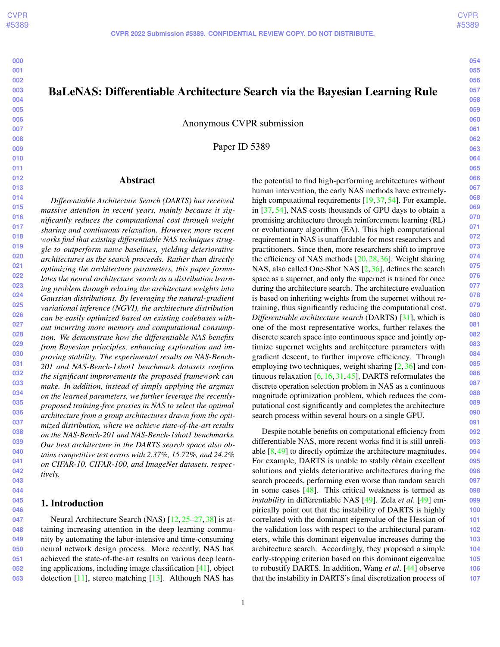# **054 055 056 057 058 059 060 061 062 063 064 065 066 067 068 069 070 071 072 073 074 075 076 077 078 079 080 081 082 083 084 085 086 087 088 089 090 091 092 093 094 095 096 097 098 099 100**

# <span id="page-0-0"></span>BaLeNAS: Differentiable Architecture Search via the Bayesian Learning Rule

Anonymous CVPR submission

Paper ID 5389

# Abstract

**014 015 016 017 018 019 020 021 022 023 024 025 026 027 028 029 030 031 032 033 034 035 036 037 038 039 040 041 042 043** *Differentiable Architecture Search (DARTS) has received massive attention in recent years, mainly because it significantly reduces the computational cost through weight sharing and continuous relaxation. However, more recent works find that existing differentiable NAS techniques struggle to outperform naive baselines, yielding deteriorative architectures as the search proceeds. Rather than directly optimizing the architecture parameters, this paper formulates the neural architecture search as a distribution learning problem through relaxing the architecture weights into Gaussian distributions. By leveraging the natural-gradient variational inference (NGVI), the architecture distribution can be easily optimized based on existing codebases without incurring more memory and computational consumption. We demonstrate how the differentiable NAS benefits from Bayesian principles, enhancing exploration and improving stability. The experimental results on NAS-Bench-201 and NAS-Bench-1shot1 benchmark datasets confirm the significant improvements the proposed framework can make. In addition, instead of simply applying the argmax on the learned parameters, we further leverage the recentlyproposed training-free proxies in NAS to select the optimal architecture from a group architectures drawn from the optimized distribution, where we achieve state-of-the-art results on the NAS-Bench-201 and NAS-Bench-1shot1 benchmarks. Our best architecture in the DARTS search space also obtains competitive test errors with 2.37%, 15.72%, and 24.2% on CIFAR-10, CIFAR-100, and ImageNet datasets, respectively.*

# 1. Introduction

**044 045 046**

**047 048 049 050 051 052 053** Neural Architecture Search (NAS) [\[12,](#page-8-0) [25–](#page-8-1)[27,](#page-8-2) [38\]](#page-9-0) is attaining increasing attention in the deep learning community by automating the labor-intensive and time-consuming neural network design process. More recently, NAS has achieved the state-of-the-art results on various deep learning applications, including image classification [\[41\]](#page-9-1), object detection [\[11\]](#page-8-3), stereo matching [\[13\]](#page-8-4). Although NAS has

the potential to find high-performing architectures without human intervention, the early NAS methods have extremely-high computational requirements [\[19,](#page-8-5) [37,](#page-9-2) [54\]](#page-9-3). For example, in [\[37,](#page-9-2) [54\]](#page-9-3), NAS costs thousands of GPU days to obtain a promising architecture through reinforcement learning (RL) or evolutionary algorithm (EA). This high computational requirement in NAS is unaffordable for most researchers and practitioners. Since then, more researchers shift to improve the efficiency of NAS methods [\[20,](#page-8-6) [28,](#page-8-7) [36\]](#page-9-4). Weight sharing NAS, also called One-Shot NAS [\[2,](#page-8-8) [36\]](#page-9-4), defines the search space as a supernet, and only the supernet is trained for once during the architecture search. The architecture evaluation is based on inheriting weights from the supernet without retraining, thus significantly reducing the computational cost. *Differentiable architecture search* (DARTS) [\[31\]](#page-9-5), which is one of the most representative works, further relaxes the discrete search space into continuous space and jointly optimize supernet weights and architecture parameters with gradient descent, to further improve efficiency. Through employing two techniques, weight sharing  $[2, 36]$  $[2, 36]$  $[2, 36]$  and continuous relaxation  $[6, 16, 31, 45]$  $[6, 16, 31, 45]$  $[6, 16, 31, 45]$  $[6, 16, 31, 45]$  $[6, 16, 31, 45]$  $[6, 16, 31, 45]$  $[6, 16, 31, 45]$ , DARTS reformulates the discrete operation selection problem in NAS as a continuous magnitude optimization problem, which reduces the computational cost significantly and completes the architecture search process within several hours on a single GPU.

Despite notable benefits on computational efficiency from differentiable NAS, more recent works find it is still unreliable [\[8,](#page-8-11) [49\]](#page-9-7) to directly optimize the architecture magnitudes. For example, DARTS is unable to stably obtain excellent solutions and yields deteriorative architectures during the search proceeds, performing even worse than random search in some cases [\[48\]](#page-9-8). This critical weakness is termed as *instability* in differentiable NAS [\[49\]](#page-9-7). Zela *et al*. [\[49\]](#page-9-7) empirically point out that the instability of DARTS is highly correlated with the dominant eigenvalue of the Hessian of the validation loss with respect to the architectural parameters, while this dominant eigenvalue increases during the architecture search. Accordingly, they proposed a simple early-stopping criterion based on this dominant eigenvalue to robustify DARTS. In addition, Wang *et al*. [\[44\]](#page-9-9) observe that the instability in DARTS's final discretization process of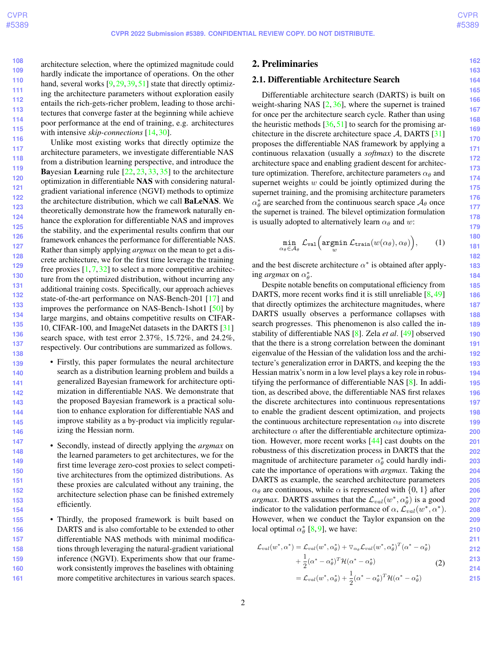<span id="page-1-2"></span>**108 109 110 111 112 113 114 115** architecture selection, where the optimized magnitude could hardly indicate the importance of operations. On the other hand, several works [\[9,](#page-8-12) [29,](#page-8-13) [39,](#page-9-10) [51\]](#page-9-11) state that directly optimizing the architecture parameters without exploration easily entails the rich-gets-richer problem, leading to those architectures that converge faster at the beginning while achieve poor performance at the end of training, e.g. architectures with intensive *skip-connections* [\[14,](#page-8-14) [30\]](#page-9-12).

**116 117 118 119 120 121 122 123 124 125 126 127 128 129 130 131 132 133 134 135 136 137 138** Unlike most existing works that directly optimize the architecture parameters, we investigate differentiable NAS from a distribution learning perspective, and introduce the Bayesian Learning rule [\[22,](#page-8-15) [23,](#page-8-16) [33,](#page-9-13) [35\]](#page-9-14) to the architecture optimization in differentiable NAS with considering naturalgradient variational inference (NGVI) methods to optimize the architecture distribution, which we call BaLeNAS. We theoretically demonstrate how the framework naturally enhance the exploration for differentiable NAS and improves the stability, and the experimental results confirm that our framework enhances the performance for differentiable NAS. Rather than simply applying *argmax* on the mean to get a discrete architecture, we for the first time leverage the training free proxies  $[1, 7, 32]$  $[1, 7, 32]$  $[1, 7, 32]$  $[1, 7, 32]$  $[1, 7, 32]$  to select a more competitive architecture from the optimized distribution, without incurring any additional training costs. Specifically, our approach achieves state-of-the-art performance on NAS-Bench-201 [\[17\]](#page-8-19) and improves the performance on NAS-Bench-1shot1 [\[50\]](#page-9-16) by large margins, and obtains competitive results on CIFAR-10, CIFAR-100, and ImageNet datasets in the DARTS [\[31\]](#page-9-5) search space, with test error 2.37%, 15.72%, and 24.2%, respectively. Our contributions are summarized as follows.

**139 140 141 142 143 144 145 146** • Firstly, this paper formulates the neural architecture search as a distribution learning problem and builds a generalized Bayesian framework for architecture optimization in differentiable NAS. We demonstrate that the proposed Bayesian framework is a practical solution to enhance exploration for differentiable NAS and improve stability as a by-product via implicitly regularizing the Hessian norm.

• Secondly, instead of directly applying the *argmax* on the learned parameters to get architectures, we for the first time leverage zero-cost proxies to select competitive architectures from the optimized distributions. As these proxies are calculated without any training, the architecture selection phase can be finished extremely efficiently.

**155 156 157 158 159 160 161** • Thirdly, the proposed framework is built based on DARTS and is also comfortable to be extended to other differentiable NAS methods with minimal modifications through leveraging the natural-gradient variational inference (NGVI). Experiments show that our framework consistently improves the baselines with obtaining more competitive architectures in various search spaces.

# 2. Preliminaries

# <span id="page-1-1"></span>2.1. Differentiable Architecture Search

Differentiable architecture search (DARTS) is built on weight-sharing NAS [\[2,](#page-8-8) [36\]](#page-9-4), where the supernet is trained for once per the architecture search cycle. Rather than using the heuristic methods  $[36, 51]$  $[36, 51]$  $[36, 51]$  to search for the promising architecture in the discrete architecture space  $A$ , DARTS [\[31\]](#page-9-5) proposes the differentiable NAS framework by applying a continuous relaxation (usually a *softmax*) to the discrete architecture space and enabling gradient descent for architecture optimization. Therefore, architecture parameters  $\alpha_{\theta}$  and supernet weights w could be jointly optimized during the supernet training, and the promising architecture parameters  $\alpha_{\theta}^*$  are searched from the continuous search space  $\mathcal{A}_{\theta}$  once the supernet is trained. The bilevel optimization formulation is usually adopted to alternatively learn  $\alpha_{\theta}$  and w:

<span id="page-1-0"></span>
$$
\min_{\alpha_{\theta} \in \mathcal{A}_{\theta}} \mathcal{L}_{\text{val}}\Big(\operatorname*{argmin}_{w} \mathcal{L}_{\text{train}}(w(\alpha_{\theta}), \alpha_{\theta})\Big), \qquad (1)
$$

and the best discrete architecture  $\alpha^*$  is obtained after applying *argmax* on  $\alpha_{\theta}^*$ .

Despite notable benefits on computational efficiency from DARTS, more recent works find it is still unreliable [\[8,](#page-8-11)[49\]](#page-9-7) that directly optimizes the architecture magnitudes, where DARTS usually observes a performance collapses with search progresses. This phenomenon is also called the instability of differentiable NAS [\[8\]](#page-8-11). Zela *et al*. [\[49\]](#page-9-7) observed that the there is a strong correlation between the dominant eigenvalue of the Hessian of the validation loss and the architecture's generalization error in DARTS, and keeping the the Hessian matrix's norm in a low level plays a key role in robustifying the performance of differentiable NAS [\[8\]](#page-8-11). In addition, as described above, the differentiable NAS first relaxes the discrete architectures into continuous representations to enable the gradient descent optimization, and projects the continuous architecture representation  $\alpha_{\theta}$  into discrete architecture  $\alpha$  after the differentiable architecture optimization. However, more recent works [\[44\]](#page-9-9) cast doubts on the robustness of this discretization process in DARTS that the magnitude of architecture parameter  $\alpha_{\theta}^{*}$  could hardly indicate the importance of operations with *argmax*. Taking the DARTS as example, the searched architecture parameters  $\alpha_{\theta}$  are continuous, while  $\alpha$  is represented with  $\{0, 1\}$  after *argmax*. DARTS assumes that the  $\mathcal{L}_{val}(w^*, \alpha_{\theta}^*)$  is a good indicator to the validation performance of  $\alpha$ ,  $\mathcal{L}_{val}(w^*, \alpha^*)$ . However, when we conduct the Taylor expansion on the local optimal  $\alpha_{\theta}^*$  [\[8,](#page-8-11)[9\]](#page-8-12), we have:

$$
\mathcal{L}_{val}(w^*, \alpha^*) = \mathcal{L}_{val}(w^*, \alpha_\theta^*) + \nabla_{\alpha_\theta} \mathcal{L}_{val}(w^*, \alpha_\theta^*)^T (\alpha^* - \alpha_\theta^*)
$$
  
+ 
$$
\frac{1}{2} (\alpha^* - \alpha_\theta^*)^T \mathcal{H}(\alpha^* - \alpha_\theta^*)
$$
 (7)

$$
\frac{1}{2}(\alpha^* - \alpha^*_{\theta})^T \mathcal{H}(\alpha^* - \alpha^*_{\theta})
$$
 (2)

$$
24\n= \mathcal{L}_{val}(w^*, \alpha_\theta^*) + \frac{1}{2}(\alpha^* - \alpha_\theta^*)^T \mathcal{H}(\alpha^* - \alpha_\theta^*)
$$
\n(214)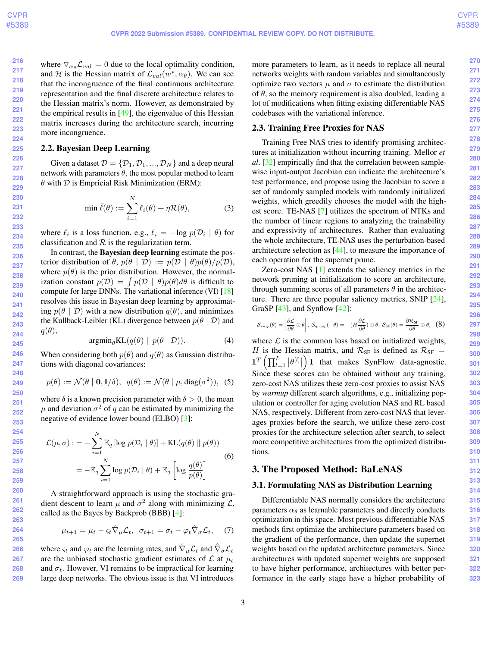<span id="page-2-7"></span>where  $\nabla_{\alpha\theta} \mathcal{L}_{val} = 0$  due to the local optimality condition, and H is the Hessian matrix of  $\mathcal{L}_{val}(w^*, \alpha_{\theta})$ . We can see that the incongruence of the final continuous architecture representation and the final discrete architecture relates to the Hessian matrix's norm. However, as demonstrated by the empirical results in  $[49]$ , the eigenvalue of this Hessian matrix increases during the architecture search, incurring more incongruence.

# <span id="page-2-3"></span>2.2. Bayesian Deep Learning

Given a dataset  $\mathcal{D} = \{\mathcal{D}_1, \mathcal{D}_1, ..., \mathcal{D}_N\}$  and a deep neural network with parameters  $\theta$ , the most popular method to learn  $\theta$  with  $\mathcal D$  is Empricial Risk Minimization (ERM):

<span id="page-2-4"></span>
$$
\min \bar{\ell}(\theta) := \sum_{i=1}^{N} \ell_i(\theta) + \eta \mathcal{R}(\theta), \tag{3}
$$

where  $\ell_i$  is a loss function, e.g.,  $\ell_i = -\log p(\mathcal{D}_i \mid \theta)$  for classification and  $R$  is the regularization term.

In contrast, the Bayesian deep learning estimate the posterior distribution of  $\theta$ ,  $p(\theta | \mathcal{D}) := p(\mathcal{D} | \theta)p(\theta)/p(\mathcal{D})$ , where  $p(\theta)$  is the prior distribution. However, the normalization constant  $p(\mathcal{D}) = \int p(\mathcal{D} | \theta) p(\theta) d\theta$  is difficult to compute for large DNNs. The variational inference (VI) [\[18\]](#page-8-20) resolves this issue in Bayesian deep learning by approximating  $p(\theta | \mathcal{D})$  with a new distribution  $q(\theta)$ , and minimizes the Kullback-Leibler (KL) divergence between  $p(\theta | \mathcal{D})$  and  $q(\theta)$ ,

<span id="page-2-1"></span>
$$
\operatorname{argmin}_{\theta} \mathrm{KL}(q(\theta) \parallel p(\theta \mid \mathcal{D})). \tag{4}
$$

When considering both  $p(\theta)$  and  $q(\theta)$  as Gaussian distributions with diagonal covariances:

<span id="page-2-0"></span>
$$
p(\theta) := \mathcal{N}(\theta \mid \mathbf{0}, \mathbf{I}/\delta), \ \ q(\theta) := \mathcal{N}(\theta \mid \mu, \text{diag}(\sigma^2)), \ \ (5)
$$

where  $\delta$  is a known precision parameter with  $\delta > 0$ , the mean  $\mu$  and deviation  $\sigma^2$  of q can be estimated by minimizing the negative of evidence lower bound (ELBO) [\[3\]](#page-8-21):

<span id="page-2-2"></span>
$$
\mathcal{L}(\mu, \sigma) := -\sum_{i=1}^{N} \mathbb{E}_{q} \left[ \log p(\mathcal{D}_{i} \mid \theta) \right] + \text{KL}(q(\theta) \parallel p(\theta))
$$

$$
= -\mathbb{E}_{q} \sum_{i=1}^{N} \log p(\mathcal{D}_{i} \mid \theta) + \mathbb{E}_{q} \left[ \log \frac{q(\theta)}{p(\theta)} \right]
$$
(6)

A straightforward approach is using the stochastic gradient descent to learn  $\mu$  and  $\sigma^2$  along with minimizing  $\mathcal{L}$ , called as the Bayes by Backprob (BBB) [\[4\]](#page-8-22):

$$
\mu_{t+1} = \mu_t - \varsigma_t \hat{\nabla}_{\mu} \mathcal{L}_t, \quad \sigma_{t+1} = \sigma_t - \varphi_t \hat{\nabla}_{\sigma} \mathcal{L}_t, \quad (7)
$$

**266 267 268 269** where  $\varsigma_t$  and  $\varphi_t$  are the learning rates, and  $\hat{\nabla}_{\mu} \mathcal{L}_t$  and  $\hat{\nabla}_{\sigma} \mathcal{L}_t$ are the unbiased stochastic gradient estimates of  $\mathcal L$  at  $\mu_t$ and  $\sigma_t$ . However, VI remains to be impractical for learning large deep networks. The obvious issue is that VI introduces more parameters to learn, as it needs to replace all neural networks weights with random variables and simultaneously optimize two vectors  $\mu$  and  $\sigma$  to estimate the distribution of  $\theta$ , so the memory requirement is also doubled, leading a lot of modifications when fitting existing differentiable NAS codebases with the variational inference.

## <span id="page-2-6"></span>2.3. Training Free Proxies for NAS

Training Free NAS tries to identify promising architectures at initialization without incurring training. Mellor *et al*. [\[32\]](#page-9-15) empirically find that the correlation between samplewise input-output Jacobian can indicate the architecture's test performance, and propose using the Jacobian to score a set of randomly sampled models with randomly initialized weights, which greedily chooses the model with the highest score. TE-NAS [\[7\]](#page-8-18) utilizes the spectrum of NTKs and the number of linear regions to analyzing the trainability and expressivity of architectures. Rather than evaluating the whole architecture, TE-NAS uses the perturbation-based architecture selection as [\[44\]](#page-9-9), to measure the importance of each operation for the supernet prune.

Zero-cost NAS [\[1\]](#page-8-17) extends the saliency metrics in the network pruning at initialization to score an architecture, through summing scores of all parameters  $\theta$  in the architecture. There are three popular saliency metrics, SNIP [\[24\]](#page-8-23), GraSP  $[43]$ , and Synflow  $[42]$ :

$$
S_{snip}(\theta) = \left| \frac{\partial \mathcal{L}}{\partial \theta} \odot \theta \right|, S_{grasp}(-\theta) = -(H \frac{\partial \mathcal{L}}{\partial \theta}) \odot \theta, S_{SF}(\theta) = \frac{\partial \mathcal{R}_{SF}}{\partial \theta} \odot \theta, (8)
$$

where  $\mathcal L$  is the common loss based on initialized weights, H is the Hessian matrix, and  $\mathcal{R}_{SF}$  is defined as  $\mathcal{R}_{SF}$  =  $\mathbf{1}^T\left( \prod_{l=1}^L \left|\theta^{[l]}\right| \right)$  1 that makes SynFlow data-agnostic. Since these scores can be obtained without any training, zero-cost NAS utilizes these zero-cost proxies to assist NAS by *warmup* different search algorithms, e.g., initializing population or controller for aging evolution NAS and RL based NAS, respectively. Different from zero-cost NAS that leverages proxies before the search, we utilize these zero-cost proxies for the architecture selection after search, to select more competitive architectures from the optimized distributions.

# <span id="page-2-5"></span>3. The Proposed Method: BaLeNAS

#### 3.1. Formulating NAS as Distribution Learning

**315 316 317 318 319 320 321 322 323** Differentiable NAS normally considers the architecture parameters  $\alpha_{\theta}$  as learnable parameters and directly conducts optimization in this space. Most previous differentiable NAS methods first optimize the architecture parameters based on the gradient of the performance, then update the supernet weights based on the updated architecture parameters. Since architectures with updated supernet weights are supposed to have higher performance, architectures with better performance in the early stage have a higher probability of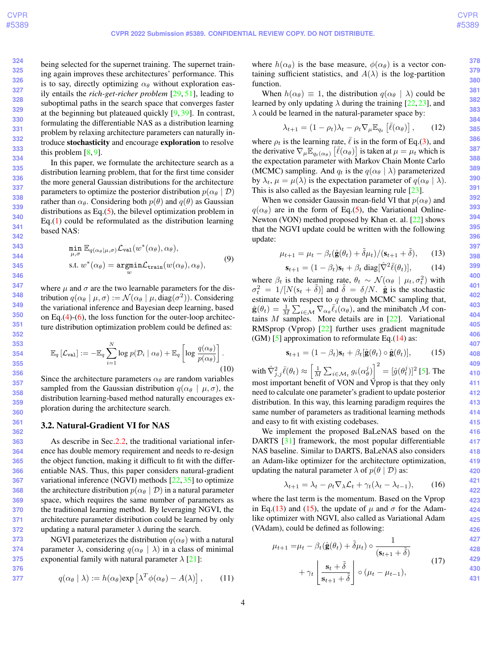**376 377**

<span id="page-3-5"></span>**324 325 326 327 328 329 330 331 332 333 334** being selected for the supernet training. The supernet training again improves these architectures' performance. This is to say, directly optimizing  $\alpha_{\theta}$  without exploration easily entails the *rich-get-richer problem* [\[29,](#page-8-13) [51\]](#page-9-11), leading to suboptimal paths in the search space that converges faster at the beginning but plateaued quickly [\[9,](#page-8-12) [39\]](#page-9-10). In contrast, formulating the differentiable NAS as a distribution learning problem by relaxing architecture parameters can naturally introduce stochasticity and encourage exploration to resolve this problem  $[8, 9]$  $[8, 9]$  $[8, 9]$ .

In this paper, we formulate the architecture search as a distribution learning problem, that for the first time consider the more general Gaussian distributions for the architecture parameters to optimize the posterior distribution  $p(\alpha_{\theta} | \mathcal{D})$ rather than  $\alpha_{\theta}$ . Considering both  $p(\theta)$  and  $q(\theta)$  as Gaussian distributions as Eq.[\(5\)](#page-2-0), the bilevel optimization problem in Eq.[\(1\)](#page-1-0) could be reformulated as the distribution learning based NAS:

$$
\min_{\mu,\sigma} \mathbb{E}_{q(\alpha_{\theta}|\mu,\sigma)} \mathcal{L}_{\text{val}}(w^*(\alpha_{\theta}), \alpha_{\theta}),
$$
\ns.t. 
$$
w^*(\alpha_{\theta}) = \underset{w}{\operatorname{argmin}} \mathcal{L}_{\text{train}}(w(\alpha_{\theta}), \alpha_{\theta}),
$$
\n(9)

where  $\mu$  and  $\sigma$  are the two learnable parameters for the distribution  $q(\alpha_{\theta} | \mu, \sigma) := \mathcal{N}(\alpha_{\theta} | \mu, \text{diag}(\sigma^2))$ . Considering the variational inference and Bayesian deep learning, based on Eq. $(4)-(6)$  $(4)-(6)$  $(4)-(6)$ , the loss function for the outer-loop architecture distribution optimization problem could be defined as:

$$
\mathbb{E}_{q}\left[\mathcal{L}_{\text{val}}\right] := -\mathbb{E}_{q}\sum_{i=1}^{N}\log p(\mathcal{D}_{i} \mid \alpha_{\theta}) + \mathbb{E}_{q}\left[\log \frac{q(\alpha_{\theta})}{p(\alpha_{\theta})}\right].
$$
\n(10)

Since the architecture parameters  $\alpha_{\theta}$  are random variables sampled from the Gaussian distribution  $q(\alpha_{\theta} | \mu, \sigma)$ , the distribution learning-based method naturally encourages exploration during the architecture search.

# <span id="page-3-4"></span>3.2. Natural-Gradient VI for NAS

As describe in Sec[.2.2,](#page-2-3) the traditional variational inference has double memory requirement and needs to re-design the object function, making it difficult to fit with the differentiable NAS. Thus, this paper considers natural-gradient variational inference (NGVI) methods [\[22,](#page-8-15) [35\]](#page-9-14) to optimize the architecture distribution  $p(\alpha_{\theta} | \mathcal{D})$  in a natural parameter space, which requires the same number of parameters as the traditional learning method. By leveraging NGVI, the architecture parameter distribution could be learned by only updating a natural parameter  $\lambda$  during the search.

**373 374 375** NGVI parameterizes the distribution  $q(\alpha_{\theta})$  with a natural parameter  $\lambda$ , considering  $q(\alpha_{\theta} | \lambda)$  in a class of minimal exponential family with natural parameter  $\lambda$  [\[21\]](#page-8-24):

$$
q(\alpha_{\theta} \mid \lambda) := h(\alpha_{\theta}) \exp \left[\lambda^T \phi(\alpha_{\theta}) - A(\lambda)\right], \qquad (11)
$$

where  $h(\alpha_{\theta})$  is the base measure,  $\phi(\alpha_{\theta})$  is a vector containing sufficient statistics, and  $A(\lambda)$  is the log-partition function.

When  $h(\alpha_{\theta}) \equiv 1$ , the distribution  $q(\alpha_{\theta} | \lambda)$  could be learned by only updating  $\lambda$  during the training [\[22,](#page-8-15) [23\]](#page-8-16), and  $\lambda$  could be learned in the natural-parameter space by:

$$
\lambda_{t+1} = (1 - \rho_t)\lambda_t - \rho_t \nabla_\mu \mathbb{E}_{q_t} \left[ \bar{\ell}(\alpha_\theta) \right], \qquad (12)
$$

where  $\rho_t$  is the learning rate,  $\bar{\ell}$  is in the form of Eq.[\(3\)](#page-2-4), and the derivative  $\nabla_{\mu} \mathbb{E}_{q_t(\alpha_{\theta})} [\bar{\ell}(\alpha_{\theta})]$  is taken at  $\mu = \mu_t$  which is the expectation parameter with Markov Chain Monte Carlo (MCMC) sampling. And  $q_t$  is the  $q(\alpha_{\theta} | \lambda)$  parameterized by  $\lambda_t$ ,  $\mu = \mu(\lambda)$  is the expectation parameter of  $q(\alpha_{\theta} | \lambda)$ . This is also called as the Bayesian learning rule [\[23\]](#page-8-16).

When we consider Gaussin mean-field VI that  $p(\alpha_{\theta})$  and  $q(\alpha_{\theta})$  are in the form of Eq.[\(5\)](#page-2-0), the Variational Online-Newton (VON) method proposed by Khan et. al. [\[22\]](#page-8-15) shows that the NGVI update could be written with the following update:

<span id="page-3-1"></span>
$$
\mu_{t+1} = \mu_t - \beta_t (\hat{\mathbf{g}}(\theta_t) + \tilde{\delta}\mu_t) / (\mathbf{s}_{t+1} + \tilde{\delta}), \qquad (13)
$$

<span id="page-3-0"></span>
$$
\mathbf{s}_{t+1} = (1 - \beta_t)\mathbf{s}_t + \beta_t \operatorname{diag}[\hat{\nabla}^2 \bar{\ell}(\theta_t)],\tag{14}
$$

where  $\beta_t$  is the learning rate,  $\theta_t \sim \mathcal{N}(\alpha_{\theta} \mid \mu_t, \sigma_t^2)$  with  $\sigma_t^2 = 1/[N(s_t + \tilde{\delta})]$  and  $\tilde{\delta} = \delta/N$ .  $\hat{g}$  is the stochastic estimate with respect to  $q$  through MCMC sampling that,  $\hat{\mathbf{g}}(\theta_t) = \frac{1}{M} \sum_{i \in \mathcal{M}} \nabla_{\alpha_\theta} \overline{\ell_i}(\alpha_\theta)$ , and the minibatch M contains  $M$  samples. More details are in  $[22]$ . Variational RMSprop (Vprop) [\[22\]](#page-8-15) further uses gradient magnitude (GM) [\[5\]](#page-8-25) approximation to reformulate Eq. $(14)$  as:

<span id="page-3-2"></span>
$$
\mathbf{s}_{t+1} = (1 - \beta_t)\mathbf{s}_t + \beta_t[\hat{\mathbf{g}}(\theta_t) \circ \hat{\mathbf{g}}(\theta_t)],\tag{15}
$$

with  $\hat{\nabla}^2_{j,j}\bar{\ell}(\theta_t) \approx \left[\frac{1}{M}\sum_{i\in\mathcal{M}_t}g_i(\alpha_\theta^j)\right]^2 = [\hat{g}(\theta_t^j)]^2$  [\[5\]](#page-8-25). The most important benefit of VON and  $\vec{V}$  prop is that they only need to calculate one parameter's gradient to update posterior distribution. In this way, this learning paradigm requires the same number of parameters as traditional learning methods and easy to fit with existing codebases.

We implement the proposed BaLeNAS based on the DARTS [\[31\]](#page-9-5) framework, the most popular differentiable NAS baseline. Similar to DARTS, BaLeNAS also considers an Adam-like optimizer for the architecture optimization, updating the natural parameter  $\lambda$  of  $p(\theta | \mathcal{D})$  as:

$$
\lambda_{t+1} = \lambda_t - \rho_t \nabla_{\lambda} \mathcal{L}_t + \gamma_t (\lambda_t - \lambda_{t-1}), \qquad (16)
$$

where the last term is the momentum. Based on the Vprop in Eq.[\(13\)](#page-3-1) and [\(15\)](#page-3-2), the update of  $\mu$  and  $\sigma$  for the Adamlike optimizer with NGVI, also called as Variational Adam (VAdam), could be defined as following:

<span id="page-3-3"></span>
$$
\mu_{t+1} = \mu_t - \beta_t (\hat{\mathbf{g}}(\theta_t) + \tilde{\delta}\mu_t) \circ \frac{1}{(\mathbf{s}_{t+1} + \tilde{\delta})}
$$

$$
+\gamma_t \left[ \frac{\mathbf{s}_t + \tilde{\delta}}{\mathbf{s}_{t+1} + \tilde{\delta}} \right] \circ (\mu_t - \mu_{t-1}), \tag{17}
$$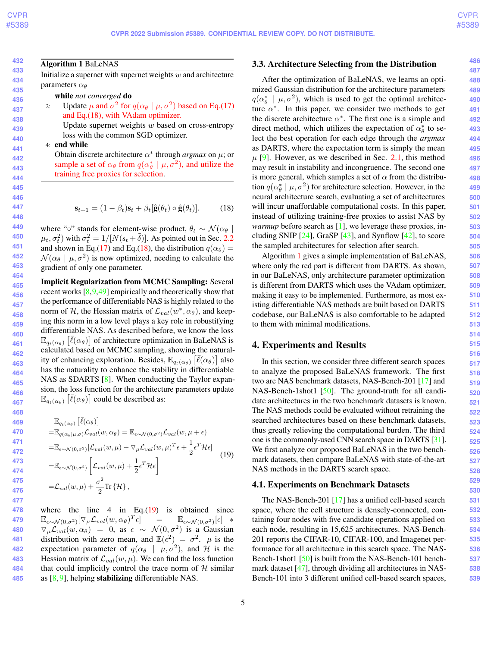> **476 477**

<span id="page-4-3"></span><span id="page-4-2"></span>Algorithm 1 BaLeNAS Initialize a supernet with supernet weights  $w$  and architecture parameters  $\alpha_{\theta}$ 

while *not converged* do

2: Update  $\mu$  and  $\sigma^2$  for  $q(\alpha_\theta | \mu, \sigma^2)$  based on Eq.[\(17\)](#page-3-3) and Eq.[\(18\)](#page-4-0), with VAdam optimizer. Update supernet weights  $w$  based on cross-entropy

loss with the common SGD optimizer.

4: end while

Obtain discrete architecture  $\alpha^*$  through *argmax* on  $\mu$ ; or sample a set of  $\alpha_{\theta}$  from  $q(\alpha_{\theta}^* | \mu, \sigma^2)$ , and utilize the training free proxies for selection.

<span id="page-4-0"></span>
$$
\mathbf{s}_{t+1} = (1 - \beta_t)\mathbf{s}_t + \beta_t[\hat{\mathbf{g}}(\theta_t) \circ \hat{\mathbf{g}}(\theta_t)].
$$
 (18)

where "∘" stands for element-wise product,  $\theta_t \sim \mathcal{N}(\alpha_\theta)$  $\mu_t, \sigma_t^2$ ) with  $\sigma_t^2 = 1/[N(s_t + \tilde{\delta})]$ . As pointed out in Sec. [2.2](#page-2-3) and shown in Eq.[\(17\)](#page-3-3) and Eq.[\(18\)](#page-4-0), the distribution  $q(\alpha_{\theta}) =$  $\mathcal{N}(\alpha_{\theta} \mid \mu, \sigma^2)$  is now optimized, needing to calculate the gradient of only one parameter.

Implicit Regularization from MCMC Sampling: Several recent works  $[8,9,49]$  $[8,9,49]$  $[8,9,49]$  empirically and theoretically show that the performance of differentiable NAS is highly related to the norm of H, the Hessian matrix of  $\mathcal{L}_{val}(w^*, \alpha_{\theta})$ , and keeping this norm in a low level plays a key role in robustifying differentiable NAS. As described before, we know the loss  $\mathbb{E}_{q_t(\alpha_\theta)}\left[\bar{\ell}(\alpha_\theta)\right]$  of architecture optimization in BaLeNAS is calculated based on MCMC sampling, showing the naturality of enhancing exploration. Besides,  $\mathbb{E}_{q_t(\alpha_\theta)}\left[\bar{\ell}(\alpha_\theta)\right]$  also has the naturality to enhance the stability in differentiable NAS as SDARTS [\[8\]](#page-8-11). When conducting the Taylor expansion, the loss function for the architecture parameters update  $\mathbb{E}_{q_t(\alpha_\theta)}\left[\bar{\ell}(\alpha_\theta)\right]$  could be described as:

<span id="page-4-1"></span>
$$
\mathbb{E}_{q_t(\alpha_\theta)} \left[ \bar{\ell}(\alpha_\theta) \right]
$$
\n
$$
= \mathbb{E}_{q(\alpha_\theta|\mu,\sigma)} \mathcal{L}_{val}(w, \alpha_\theta) = \mathbb{E}_{\epsilon \sim \mathcal{N}(0,\sigma^2)} \mathcal{L}_{val}(w, \mu + \epsilon)
$$
\n
$$
= \mathbb{E}_{\epsilon \sim \mathcal{N}(0,\sigma^2)} [\mathcal{L}_{val}(w, \mu) + \nabla_{\mu} \mathcal{L}_{val}(w, \mu)^T \epsilon + \frac{1}{2} \epsilon^T \mathcal{H} \epsilon]
$$
\n
$$
= \mathbb{E}_{\epsilon \sim \mathcal{N}(0,\sigma^2)} \left[ \mathcal{L}_{val}(w, \mu) + \frac{1}{2} \epsilon^T \mathcal{H} \epsilon \right]
$$
\n
$$
= \mathcal{L}_{val}(w, \mu) + \frac{\sigma^2}{2} \text{Tr} \left\{ \mathcal{H} \right\},
$$
\n(19)

**478 479 480 481 482 483 484 485** where the line 4 in Eq. $(19)$  is obtained since  $\mathbb{E}_{\epsilon \sim \mathcal{N}(0, \sigma^2)} [\triangledown_{\mu} \mathcal{L}_{val} (w, \alpha_\theta)^T \epsilon] \quad = \quad \mathbb{E}_{\epsilon \sim \mathcal{N}(0, \sigma^2)}[\epsilon] \quad *$  $\nabla_{\mu} \mathcal{L}_{val}(w, \alpha_{\theta}) = 0$ , as  $\epsilon \sim \mathcal{N}(0, \sigma^2)$  is a Gaussian distribution with zero mean, and  $\mathbb{E}(\epsilon^2) = \sigma^2$ .  $\mu$  is the expectation parameter of  $q(\alpha_{\theta} \mid \mu, \sigma^2)$ , and H is the Hessian matrix of  $\mathcal{L}_{val}(w, \mu)$ . We can find the loss function that could implicitly control the trace norm of  $H$  similar as  $[8, 9]$  $[8, 9]$  $[8, 9]$ , helping stabilizing differentiable NAS.

#### 3.3. Architecture Selecting from the Distribution

After the optimization of BaLeNAS, we learns an optimized Gaussian distribution for the architecture parameters  $q(\alpha_{\theta}^* \mid \mu, \sigma^2)$ , which is used to get the optimal architecture  $\alpha^*$ . In this paper, we consider two methods to get the discrete architecture  $\alpha^*$ . The first one is a simple and direct method, which utilizes the expectation of  $\alpha_{\theta}^*$  to select the best operation for each edge through the *argmax* as DARTS, where the expectation term is simply the mean  $\mu$  [\[9\]](#page-8-12). However, as we described in Sec. [2.1,](#page-1-1) this method may result in instability and incongruence. The second one is more general, which samples a set of  $\alpha$  from the distribution  $q(\alpha_{\theta}^* | \mu, \sigma^2)$  for architecture selection. However, in the neural architecture search, evaluating a set of architectures will incur unaffordable computational costs. In this paper, instead of utilizing training-free proxies to assist NAS by *warmup* before search as [\[1\]](#page-8-17), we leverage these proxies, including SNIP  $[24]$ , GraSP  $[43]$ , and Synflow  $[42]$ , to score the sampled architectures for selection after search.

Algorithm [1](#page-4-2) gives a simple implementation of BaLeNAS, where only the red part is different from DARTS. As shown, in our BaLeNAS, only architecture parameter optimization is different from DARTS which uses the VAdam optimizer, making it easy to be implemented. Furthermore, as most existing differentiable NAS methods are built based on DARTS codebase, our BaLeNAS is also comfortable to be adapted to them with minimal modifications.

# 4. Experiments and Results

In this section, we consider three different search spaces to analyze the proposed BaLeNAS framework. The first two are NAS benchmark datasets, NAS-Bench-201 [\[17\]](#page-8-19) and NAS-Bench-1shot1 [\[50\]](#page-9-16). The ground-truth for all candidate architectures in the two benchmark datasets is known. The NAS methods could be evaluated without retraining the searched architectures based on these benchmark datasets, thus greatly relieving the computational burden. The third one is the commonly-used CNN search space in DARTS [\[31\]](#page-9-5). We first analyze our proposed BaLeNAS in the two benchmark datasets, then compare BaLeNAS with state-of-the-art NAS methods in the DARTS search space.

### 4.1. Experiments on Benchmark Datasets

The NAS-Bench-201 [\[17\]](#page-8-19) has a unified cell-based search space, where the cell structure is densely-connected, containing four nodes with five candidate operations applied on each node, resulting in 15,625 architectures. NAS-Bench-201 reports the CIFAR-10, CIFAR-100, and Imagenet performance for all architecture in this search space. The NAS-Bench-1shot1 [\[50\]](#page-9-16) is built from the NAS-Bench-101 benchmark dataset [\[47\]](#page-9-19), through dividing all architectures in NAS-Bench-101 into 3 different unified cell-based search spaces,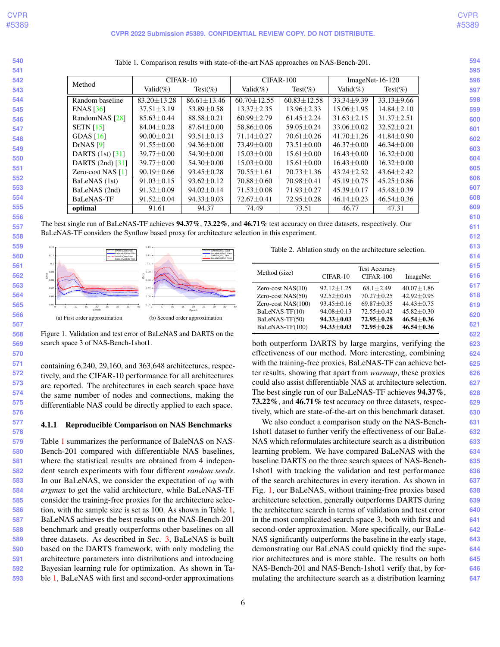| - - |  |
|-----|--|
|     |  |

<span id="page-5-3"></span><span id="page-5-0"></span>

| Method              | $CIFAR-10$       |                  | $CIFAR-100$      |                  | $ImageNet-16-120$ |                  |
|---------------------|------------------|------------------|------------------|------------------|-------------------|------------------|
|                     | Valid $(\%)$     | $Test(\%)$       | Valid $(\%)$     | $Test(\%)$       | Valid $(\%)$      | $Test(\%)$       |
| Random baseline     | $83.20 + 13.28$  | $86.61 + 13.46$  | $60.70 + 12.55$  | $60.83 + 12.58$  | $33.34 + 9.39$    | $33.13 + 9.66$   |
| ENAS [36]           | $37.51 \pm 3.19$ | $53.89 + 0.58$   | $13.37 + 2.35$   | $13.96 + 2.33$   | $15.06 \pm 1.95$  | $14.84 + 2.10$   |
| RandomNAS [28]      | $85.63 + 0.44$   | $88.58 \pm 0.21$ | $60.99 \pm 2.79$ | $61.45 + 2.24$   | $31.63 + 2.15$    | $31.37 + 2.51$   |
| SETN [15]           | $84.04 + 0.28$   | $87.64 \pm 0.00$ | $58.86 \pm 0.06$ | $59.05 + 0.24$   | $33.06 + 0.02$    | $32.52 + 0.21$   |
| GDAS $[16]$         | $90.00+0.21$     | $93.51 \pm 0.13$ | $71.14 + 0.27$   | $70.61 + 0.26$   | $41.70 + 1.26$    | $41.84 + 0.90$   |
| DrNAS [9]           | $91.55 \pm 0.00$ | $94.36 \pm 0.00$ | $73.49 \pm 0.00$ | $73.51 \pm 0.00$ | $46.37 \pm 0.00$  | $46.34 \pm 0.00$ |
| DARTS $(1st)$ [31]  | $39.77 + 0.00$   | $54.30 + 0.00$   | $15.03 + 0.00$   | $15.61 + 0.00$   | $16.43 + 0.00$    | $16.32 + 0.00$   |
| DARTS $(2nd)$ [31]  | $39.77 + 0.00$   | $54.30 \pm 0.00$ | $15.03 + 0.00$   | $15.61 + 0.00$   | $16.43 \pm 0.00$  | $16.32 + 0.00$   |
| Zero-cost NAS $[1]$ | $90.19 \pm 0.66$ | $93.45 \pm 0.28$ | $70.55 \pm 1.61$ | $70.73 \pm 1.36$ | $43.24 \pm 2.52$  | $43.64 \pm 2.42$ |
| BaLeNAS (1st)       | $91.03 + 0.15$   | $93.62 + 0.12$   | $70.88 + 0.60$   | $70.98 + 0.41$   | $45.19 + 0.75$    | $45.25 + 0.86$   |
| BaLeNAS (2nd)       | $91.32 \pm 0.09$ | $94.02 \pm 0.14$ | $71.53 + 0.08$   | $71.93 \pm 0.27$ | $45.39 \pm 0.17$  | $45.48 \pm 0.39$ |
| BaLeNAS-TF          | $91.52 \pm 0.04$ | $94.33 \pm 0.03$ | $72.67 \pm 0.41$ | $72.95 \pm 0.28$ | $46.14 \pm 0.23$  | $46.54 \pm 0.36$ |
| optimal             | 91.61            | 94.37            | 74.49            | 73.51            | 46.77             | 47.31            |

Table 1. Comparison results with state-of-the-art NAS approaches on NAS-Bench-201.

The best single run of BaLeNAS-TF achieves 94.37%, 73.22%, and 46.71% test accuracy on three datasets, respectively. Our BaLeNAS-TF considers the Synflow based proxy for architecture selection in this experiment.

<span id="page-5-1"></span>

Figure 1. Validation and test error of BaLeNAS and DARTS on the search space 3 of NAS-Bench-1shot1.

containing 6,240, 29,160, and 363,648 architectures, respectively, and the CIFAR-10 performance for all architectures are reported. The architectures in each search space have the same number of nodes and connections, making the differentiable NAS could be directly applied to each space.

#### 4.1.1 Reproducible Comparison on NAS Benchmarks

**579 580 581 582 583 584 585 586 587 588 589 590 591 592 593** Table [1](#page-5-0) summarizes the performance of BaleNAS on NAS-Bench-201 compared with differentiable NAS baselines, where the statistical results are obtained from 4 independent search experiments with four different *random seeds*. In our BaLeNAS, we consider the expectation of  $\alpha_{\theta}$  with *argmax* to get the valid architecture, while BaLeNAS-TF consider the training-free proxies for the architecture selection, with the sample size is set as 100. As shown in Table [1,](#page-5-0) BaLeNAS achieves the best results on the NAS-Bench-201 benchmark and greatly outperforms other baselines on all three datasets. As described in Sec. [3,](#page-2-5) BaLeNAS is built based on the DARTS framework, with only modeling the architecture parameters into distributions and introducing Bayesian learning rule for optimization. As shown in Table [1,](#page-5-0) BaLeNAS with first and second-order approximations

<span id="page-5-2"></span>Table 2. Ablation study on the architecture selection.

| Method (size)        | CIFAR-10       | <b>Test Accuracy</b><br>$CIFAR-100$ | ImageNet       |
|----------------------|----------------|-------------------------------------|----------------|
| Zero-cost $NAS(10)$  | $92.12 + 1.25$ | $68.1 + 2.49$                       | $40.07 + 1.86$ |
| Zero-cost NAS(50)    | $92.52 + 0.05$ | $70.27 + 0.25$                      | $42.92 + 0.95$ |
| Zero-cost $NAS(100)$ | $93.45 + 0.16$ | $69.87 + 0.35$                      | $44.43 + 0.75$ |
| BaLeNAS-TF(10)       | $94.08 + 0.13$ | $72.55 + 0.42$                      | $45.82 + 0.30$ |
| BaLeNAS-TF(50)       | $94.33 + 0.03$ | $72.95 + 0.28$                      | $46.54 + 0.36$ |
| BaLeNAS-TF(100)      | $94.33 + 0.03$ | $72.95 + 0.28$                      | $46.54 + 0.36$ |

both outperform DARTS by large margins, verifying the effectiveness of our method. More interesting, combining with the training-free proxies, BaLeNAS-TF can achieve better results, showing that apart from *warmup*, these proxies could also assist differentiable NAS at architecture selection. The best single run of our BaLeNAS-TF achieves 94.37%, 73.22%, and 46.71% test accuracy on three datasets, respectively, which are state-of-the-art on this benchmark dataset.

We also conduct a comparison study on the NAS-Bench-1shot1 dataset to further verify the effectiveness of our BaLe-NAS which reformulates architecture search as a distribution learning problem. We have compared BaLeNAS with the baseline DARTS on the three search spaces of NAS-Bench-1shot1 with tracking the validation and test performance of the search architectures in every iteration. As shown in Fig. [1,](#page-5-1) our BaLeNAS, without training-free proxies based architecture selection, generally outperforms DARTS during the architecture search in terms of validation and test error in the most complicated search space 3, both with first and second-order approximation. More specifically, our BaLe-NAS significantly outperforms the baseline in the early stage, demonstrating our BaLeNAS could quickly find the superior architectures and is more stable. The results on both NAS-Bench-201 and NAS-Bench-1shot1 verify that, by formulating the architecture search as a distribution learning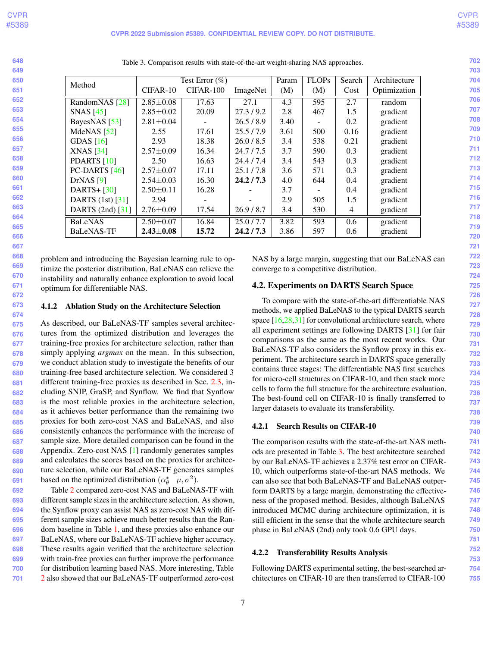<span id="page-6-1"></span><span id="page-6-0"></span>

| Method               |                 | Test Error $(\% )$ |            | Param | <b>FLOPs</b> | Search | Architecture |
|----------------------|-----------------|--------------------|------------|-------|--------------|--------|--------------|
|                      | $CIFAR-10$      | $CIFAR-100$        | ImageNet   | (M)   | (M)          | Cost   | Optimization |
| RandomNAS [28]       | $2.85 \pm 0.08$ | 17.63              | 27.1       | 4.3   | 595          | 2.7    | random       |
| SNAS $[45]$          | $2.85 \pm 0.02$ | 20.09              | 27.3/9.2   | 2.8   | 467          | 1.5    | gradient     |
| BayesNAS [53]        | $2.81 \pm 0.04$ | ۰                  | 26.5/8.9   | 3.40  |              | 0.2    | gradient     |
| MdeNAS $[52]$        | 2.55            | 17.61              | 25.5/7.9   | 3.61  | 500          | 0.16   | gradient     |
| GDAS $[16]$          | 2.93            | 18.38              | 26.0 / 8.5 | 3.4   | 538          | 0.21   | gradient     |
| XNAS [34]            | $2.57 \pm 0.09$ | 16.34              | 24.7/7.5   | 3.7   | 590          | 0.3    | gradient     |
| PDARTS [10]          | 2.50            | 16.63              | 24.4/7.4   | 3.4   | 543          | 0.3    | gradient     |
| PC-DARTS $[46]$      | $2.57 \pm 0.07$ | 17.11              | 25.1/7.8   | 3.6   | 571          | 0.3    | gradient     |
| DrNAS [9]            | $2.54 \pm 0.03$ | 16.30              | 24.2/7.3   | 4.0   | 644          | 0.4    | gradient     |
| DARTS+ $[30]$        | $2.50 \pm 0.11$ | 16.28              |            | 3.7   |              | 0.4    | gradient     |
| DARTS $(1st)$ [31]   | 2.94            |                    |            | 2.9   | 505          | 1.5    | gradient     |
| DARTS $(2nd)$ $[31]$ | $2.76 \pm 0.09$ | 17.54              | 26.9/8.7   | 3.4   | 530          | 4      | gradient     |
| <b>BaLeNAS</b>       | $2.50 \pm 0.07$ | 16.84              | 25.0/7.7   | 3.82  | 593          | 0.6    | gradient     |
| <b>BaLeNAS-TF</b>    | $2.43 \pm 0.08$ | 15.72              | 24.2/7.3   | 3.86  | 597          | 0.6    | gradient     |

Table 3. Comparison results with state-of-the-art weight-sharing NAS approaches.

problem and introducing the Bayesian learning rule to optimize the posterior distribution, BaLeNAS can relieve the instability and naturally enhance exploration to avoid local optimum for differentiable NAS.

# 4.1.2 Ablation Study on the Architecture Selection

**675 676 677 678 679 680 681 682 683 684 685 686 687 688 689 690 691** As described, our BaLeNAS-TF samples several architectures from the optimized distribution and leverages the training-free proxies for architecture selection, rather than simply applying *argmax* on the mean. In this subsection, we conduct ablation study to investigate the benefits of our training-free based architecture selection. We considered 3 different training-free proxies as described in Sec. [2.3,](#page-2-6) including SNIP, GraSP, and Synflow. We find that Synflow is the most reliable proxies in the architecture selection, as it achieves better performance than the remaining two proxies for both zero-cost NAS and BaLeNAS, and also consistently enhances the performance with the increase of sample size. More detailed comparison can be found in the Appendix. Zero-cost NAS [\[1\]](#page-8-17) randomly generates samples and calculates the scores based on the proxies for architecture selection, while our BaLeNAS-TF generates samples based on the optimized distribution  $(\alpha_{\theta}^* | \mu, \sigma^2)$ .

**692 693 694 695 696 697 698 699 700 701** Table [2](#page-5-2) compared zero-cost NAS and BaLeNAS-TF with different sample sizes in the architecture selection. As shown, the Synflow proxy can assist NAS as zero-cost NAS with different sample sizes achieve much better results than the Random baseline in Table [1,](#page-5-0) and these proxies also enhance our BaLeNAS, where our BaLeNAS-TF achieve higher accuracy. These results again verified that the architecture selection with train-free proxies can further improve the performance for distribution learning based NAS. More interesting, Table [2](#page-5-2) also showed that our BaLeNAS-TF outperformed zero-cost

NAS by a large margin, suggesting that our BaLeNAS can converge to a competitive distribution.

## 4.2. Experiments on DARTS Search Space

To compare with the state-of-the-art differentiable NAS methods, we applied BaLeNAS to the typical DARTS search space [\[16](#page-8-10)[,28,](#page-8-7)[31\]](#page-9-5) for convolutional architecture search, where all experiment settings are following DARTS [\[31\]](#page-9-5) for fair comparisons as the same as the most recent works. Our BaLeNAS-TF also considers the Synflow proxy in this experiment. The architecture search in DARTS space generally contains three stages: The differentiable NAS first searches for micro-cell structures on CIFAR-10, and then stack more cells to form the full structure for the architecture evaluation. The best-found cell on CIFAR-10 is finally transferred to larger datasets to evaluate its transferability.

#### 4.2.1 Search Results on CIFAR-10

The comparison results with the state-of-the-art NAS methods are presented in Table [3.](#page-6-0) The best architecture searched by our BaLeNAS-TF achieves a 2.37% test error on CIFAR-10, which outperforms state-of-the-art NAS methods. We can also see that both BaLeNAS-TF and BaLeNAS outperform DARTS by a large margin, demonstrating the effectiveness of the proposed method. Besides, although BaLeNAS introduced MCMC during architecture optimization, it is still efficient in the sense that the whole architecture search phase in BaLeNAS (2nd) only took 0.6 GPU days.

#### 4.2.2 Transferability Results Analysis

Following DARTS experimental setting, the best-searched architectures on CIFAR-10 are then transferred to CIFAR-100 **702 703**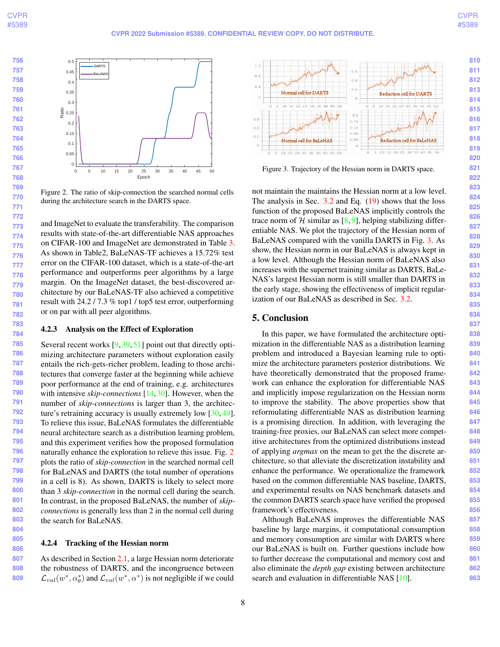**783 784**

**805 806**

<span id="page-7-2"></span><span id="page-7-0"></span>

Figure 2. The ratio of skip-connection the searched normal cells during the architecture search in the DARTS space.

**773 774 775 776 777 778 779 780 781 782** and ImageNet to evaluate the transferability. The comparison results with state-of-the-art differentiable NAS approaches on CIFAR-100 and ImageNet are demonstrated in Table [3.](#page-6-0) As shown in Table2, BaLeNAS-TF achieves a 15.72% test error on the CIFAR-100 dataset, which is a state-of-the-art performance and outperforms peer algorithms by a large margin. On the ImageNet dataset, the best-discovered architecture by our BaLeNAS-TF also achieved a competitive result with 24.2 / 7.3 % top1 / top5 test error, outperforming or on par with all peer algorithms.

#### 4.2.3 Analysis on the Effect of Exploration

**785 786 787 788 789 790 791 792 793 794 795 796 797 798 799 800 801 802 803 804** Several recent works [\[9,](#page-8-12) [39,](#page-9-10) [51\]](#page-9-11) point out that directly optimizing architecture parameters without exploration easily entails the rich-gets-richer problem, leading to those architectures that converge faster at the beginning while achieve poor performance at the end of training, e.g. architectures with intensive *skip-connections* [\[14,](#page-8-14) [30\]](#page-9-12). However, when the number of *skip-connections* is larger than 3, the architec-ture's retraining accuracy is usually extremely low [\[30,](#page-9-12) [49\]](#page-9-7). To relieve this issue, BaLeNAS formulates the differentiable neural architecture search as a distribution learning problem, and this experiment verifies how the proposed formulation naturally enhance the exploration to relieve this issue. Fig. [2](#page-7-0) plots the ratio of *skip-connection* in the searched normal cell for BaLeNAS and DARTS (the total number of operations in a cell is 8). As shown, DARTS is likely to select more than 3 *skip-connection* in the normal cell during the search. In contrast, in the proposed BaLeNAS, the number of *skipconnections* is generally less than 2 in the normal cell during the search for BaLeNAS.

# 4.2.4 Tracking of the Hessian norm

**807 808 809** As described in Section [2.1,](#page-1-1) a large Hessian norm deteriorate the robustness of DARTS, and the incongruence between  $\mathcal{L}_{val}(w^*, \alpha_\theta^*)$  and  $\mathcal{L}_{val}(w^*, \alpha^*)$  is not negligible if we could

<span id="page-7-1"></span>

Figure 3. Trajectory of the Hessian norm in DARTS space.

not maintain the maintains the Hessian norm at a low level. The analysis in Sec.  $3.2$  and Eq.  $(19)$  shows that the loss function of the proposed BaLeNAS implicitly controls the trace norm of H similar as  $[8, 9]$  $[8, 9]$  $[8, 9]$ , helping stabilizing differentiable NAS. We plot the trajectory of the Hessian norm of BaLeNAS compared with the vanilla DARTS in Fig. [3.](#page-7-1) As show, the Hessian norm in our BaLeNAS is always kept in a low level. Although the Hessian norm of BaLeNAS also increases with the supernet training similar as DARTS, BaLe-NAS's largest Hessian norm is still smaller than DARTS in the early stage, showing the effectiveness of implicit regularization of our BaLeNAS as described in Sec. [3.2.](#page-3-4)

# 5. Conclusion

In this paper, we have formulated the architecture optimization in the differentiable NAS as a distribution learning problem and introduced a Bayesian learning rule to optimize the architecture parameters posterior distributions. We have theoretically demonstrated that the proposed framework can enhance the exploration for differentiable NAS and implicitly impose regularization on the Hessian norm to improve the stability. The above properties show that reformulating differentiable NAS as distribution learning is a promising direction. In addition, with leveraging the training-free proxies, our BaLeNAS can select more competitive architectures from the optimized distributions instead of applying *argmax* on the mean to get the the discrete architecture, so that alleviate the discretization instability and enhance the performance. We operationalize the framework based on the common differentiable NAS baseline, DARTS, and experimental results on NAS benchmark datasets and the common DARTS search space have verified the proposed framework's effectiveness.

Although BaLeNAS improves the differentiable NAS baseline by large margins, it computational consumption and memory consumption are similar with DARTS where our BaLeNAS is built on. Further questions include how to further decrease the computational and memory cost and also eliminate the *depth gap* existing between architecture search and evaluation in differentiable NAS [\[10\]](#page-8-27).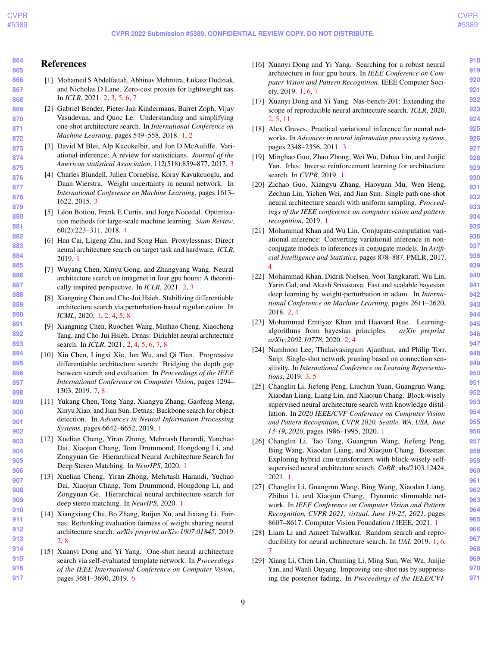**911**

#### **864 865** References

- <span id="page-8-17"></span>[1] Mohamed S Abdelfattah, Abhinav Mehrotra, Łukasz Dudziak, and Nicholas D Lane. Zero-cost proxies for lightweight nas. In *ICLR*, 2021. [2,](#page-1-2) [3,](#page-2-7) [5,](#page-4-3) [6,](#page-5-3) [7](#page-6-1)
- <span id="page-8-8"></span>[2] Gabriel Bender, Pieter-Jan Kindermans, Barret Zoph, Vijay Vasudevan, and Quoc Le. Understanding and simplifying one-shot architecture search. In *International Conference on Machine Learning*, pages 549–558, 2018. [1,](#page-0-0) [2](#page-1-2)
- <span id="page-8-22"></span><span id="page-8-21"></span>[3] David M Blei, Alp Kucukelbir, and Jon D McAuliffe. Variational inference: A review for statisticians. *Journal of the American statistical Association*, 112(518):859–877, 2017. [3](#page-2-7)
	- [4] Charles Blundell, Julien Cornebise, Koray Kavukcuoglu, and Daan Wierstra. Weight uncertainty in neural network. In *International Conference on Machine Learning*, pages 1613– 1622, 2015. [3](#page-2-7)
	- [5] Léon Bottou, Frank E Curtis, and Jorge Nocedal. Optimization methods for large-scale machine learning. *Siam Review*, 60(2):223–311, 2018. [4](#page-3-5)
- <span id="page-8-25"></span><span id="page-8-18"></span><span id="page-8-11"></span><span id="page-8-9"></span>[6] Han Cai, Ligeng Zhu, and Song Han. Proxylessnas: Direct neural architecture search on target task and hardware. *ICLR*, 2019. [1](#page-0-0)
	- [7] Wuyang Chen, Xinyu Gong, and Zhangyang Wang. Neural architecture search on imagenet in four gpu hours: A theoretically inspired perspective. In *ICLR*, 2021. [2,](#page-1-2) [3](#page-2-7)
	- [8] Xiangning Chen and Cho-Jui Hsieh. Stabilizing differentiable architecture search via perturbation-based regularization. In *ICML*, 2020. [1,](#page-0-0) [2,](#page-1-2) [4,](#page-3-5) [5,](#page-4-3) [8](#page-7-2)
	- [9] Xiangning Chen, Ruochen Wang, Minhao Cheng, Xiaocheng Tang, and Cho-Jui Hsieh. Drnas: Dirichlet neural architecture search. In *ICLR*, 2021. [2,](#page-1-2) [4,](#page-3-5) [5,](#page-4-3) [6,](#page-5-3) [7,](#page-6-1) [8](#page-7-2)
- <span id="page-8-27"></span><span id="page-8-12"></span>[10] Xin Chen, Lingxi Xie, Jun Wu, and Qi Tian. Progressive differentiable architecture search: Bridging the depth gap between search and evaluation. In *Proceedings of the IEEE International Conference on Computer Vision*, pages 1294– 1303, 2019. [7,](#page-6-1) [8](#page-7-2)
- <span id="page-8-3"></span>**899 900 901 902** [11] Yukang Chen, Tong Yang, Xiangyu Zhang, Gaofeng Meng, Xinyu Xiao, and Jian Sun. Detnas: Backbone search for object detection. In *Advances in Neural Information Processing Systems*, pages 6642–6652, 2019. [1](#page-0-0)
- <span id="page-8-0"></span>**903 904 905 906** [12] Xuelian Cheng, Yiran Zhong, Mehrtash Harandi, Yunchao Dai, Xiaojun Chang, Tom Drummond, Hongdong Li, and Zongyuan Ge. Hierarchical Neural Architecture Search for Deep Stereo Matching. In *NeurIPS*, 2020. [1](#page-0-0)
- <span id="page-8-4"></span>**907 908 909 910** [13] Xuelian Cheng, Yiran Zhong, Mehrtash Harandi, Yuchao Dai, Xiaojun Chang, Tom Drummond, Hongdong Li, and Zongyuan Ge. Hierarchical neural architecture search for deep stereo matching. In *NeurIPS*, 2020. [1](#page-0-0)
- <span id="page-8-14"></span>**912 913** [14] Xiangxiang Chu, Bo Zhang, Ruijun Xu, and Jixiang Li. Fairnas: Rethinking evaluation fairness of weight sharing neural architecture search. *arXiv preprint arXiv:1907.01845*, 2019. [2,](#page-1-2) [8](#page-7-2)
- <span id="page-8-26"></span>**914 915 916 917** [15] Xuanyi Dong and Yi Yang. One-shot neural architecture search via self-evaluated template network. In *Proceedings of the IEEE International Conference on Computer Vision*, pages 3681–3690, 2019. [6](#page-5-3)
- <span id="page-8-10"></span>[16] Xuanyi Dong and Yi Yang. Searching for a robust neural architecture in four gpu hours. In *IEEE Conference on Computer Vision and Pattern Recognition*. IEEE Computer Society, 2019. [1,](#page-0-0) [6,](#page-5-3) [7](#page-6-1)
- <span id="page-8-19"></span>[17] Xuanyi Dong and Yi Yang. Nas-bench-201: Extending the scope of reproducible neural architecture search. *ICLR*, 2020. [2,](#page-1-2) [5,](#page-4-3) [11](#page--1-0)
- <span id="page-8-20"></span>[18] Alex Graves. Practical variational inference for neural networks. In *Advances in neural information processing systems*, pages 2348–2356, 2011. [3](#page-2-7)
- <span id="page-8-5"></span>[19] Minghao Guo, Zhao Zhong, Wei Wu, Dahua Lin, and Junjie Yan. Irlas: Inverse reinforcement learning for architecture search. In *CVPR*, 2019. [1](#page-0-0)
- <span id="page-8-6"></span>[20] Zichao Guo, Xiangyu Zhang, Haoyuan Mu, Wen Heng, Zechun Liu, Yichen Wei, and Jian Sun. Single path one-shot neural architecture search with uniform sampling. *Proceedings of the IEEE conference on computer vision and pattern recognition*, 2019. [1](#page-0-0)
- <span id="page-8-24"></span>[21] Mohammad Khan and Wu Lin. Conjugate-computation variational inference: Converting variational inference in nonconjugate models to inferences in conjugate models. In *Artificial Intelligence and Statistics*, pages 878–887. PMLR, 2017. [4](#page-3-5)
- <span id="page-8-15"></span>[22] Mohammad Khan, Didrik Nielsen, Voot Tangkaratt, Wu Lin, Yarin Gal, and Akash Srivastava. Fast and scalable bayesian deep learning by weight-perturbation in adam. In *International Conference on Machine Learning*, pages 2611–2620, 2018. [2,](#page-1-2) [4](#page-3-5)
- <span id="page-8-16"></span>[23] Mohammad Emtiyaz Khan and Haavard Rue. Learningalgorithms from bayesian principles. *arXiv preprint arXiv:2002.10778*, 2020. [2,](#page-1-2) [4](#page-3-5)
- <span id="page-8-23"></span>[24] Namhoon Lee, Thalaiyasingam Ajanthan, and Philip Torr. Snip: Single-shot network pruning based on connection sensitivity. In *International Conference on Learning Representations*, 2019. [3,](#page-2-7) [5](#page-4-3)
- <span id="page-8-1"></span>[25] Changlin Li, Jiefeng Peng, Liuchun Yuan, Guangrun Wang, Xiaodan Liang, Liang Lin, and Xiaojun Chang. Block-wisely supervised neural architecture search with knowledge distillation. In *2020 IEEE/CVF Conference on Computer Vision and Pattern Recognition, CVPR 2020, Seattle, WA, USA, June 13-19, 2020*, pages 1986–1995, 2020. [1](#page-0-0)
- [26] Changlin Li, Tao Tang, Guangrun Wang, Jiefeng Peng, Bing Wang, Xiaodan Liang, and Xiaojun Chang. Bossnas: Exploring hybrid cnn-transformers with block-wisely selfsupervised neural architecture search. *CoRR*, abs/2103.12424, 2021. [1](#page-0-0)
- <span id="page-8-2"></span>[27] Changlin Li, Guangrun Wang, Bing Wang, Xiaodan Liang, Zhihui Li, and Xiaojun Chang. Dynamic slimmable network. In *IEEE Conference on Computer Vision and Pattern Recognition, CVPR 2021, virtual, June 19-25, 2021*, pages 8607–8617. Computer Vision Foundation / IEEE, 2021. [1](#page-0-0)
- <span id="page-8-7"></span>[28] Liam Li and Ameet Talwalkar. Random search and reproducibility for neural architecture search. In *UAI*, 2019. [1,](#page-0-0) [6,](#page-5-3) [7](#page-6-1)
- <span id="page-8-13"></span>[29] Xiang Li, Chen Lin, Chuming Li, Ming Sun, Wei Wu, Junjie Yan, and Wanli Ouyang. Improving one-shot nas by suppressing the posterior fading. In *Proceedings of the IEEE/CVF*